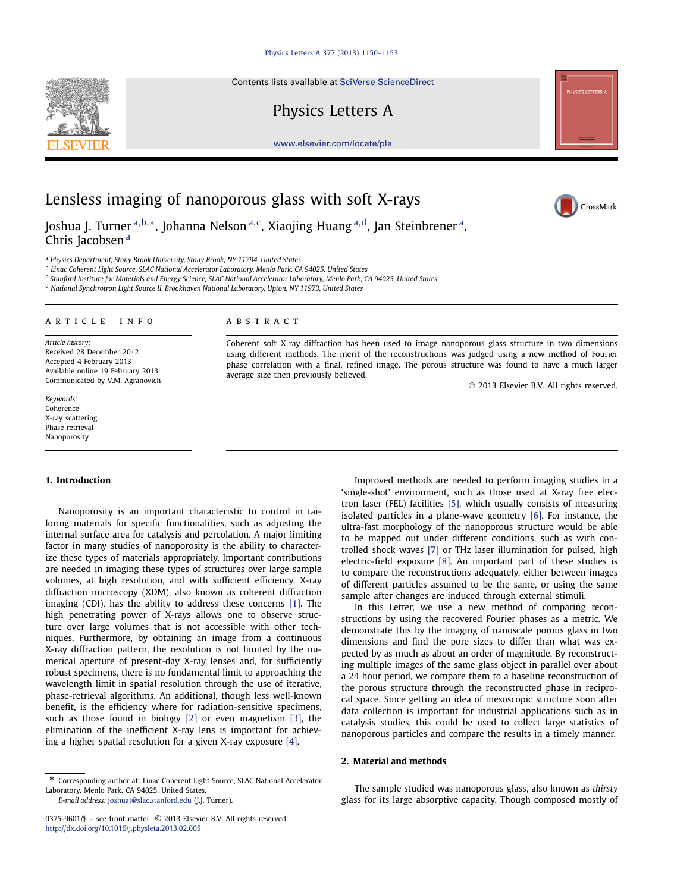Contents lists available at [SciVerse ScienceDirect](http://www.ScienceDirect.com/)

# Physics Letters A





CrossMark

# Lensless imaging of nanoporous glass with soft X-rays

Joshua J. Turner <sup>a</sup>*,*b*,*∗, Johanna Nelson <sup>a</sup>*,*c, Xiaojing Huang <sup>a</sup>*,*d, Jan Steinbrener a, Chris Jacobsen<sup>a</sup>

<sup>a</sup> *Physics Department, Stony Brook University, Stony Brook, NY 11794, United States*

<sup>b</sup> *Linac Coherent Light Source, SLAC National Accelerator Laboratory, Menlo Park, CA 94025, United States*

<sup>c</sup> *Stanford Institute for Materials and Energy Science, SLAC National Accelerator Laboratory, Menlo Park, CA 94025, United States*

<sup>d</sup> *National Synchrotron Light Source II, Brookhaven National Laboratory, Upton, NY 11973, United States*

### article info abstract

*Article history:* Received 28 December 2012 Accepted 4 February 2013 Available online 19 February 2013 Communicated by V.M. Agranovich

*Keywords:* Coherence X-ray scattering Phase retrieval Nanoporosity

Coherent soft X-ray diffraction has been used to image nanoporous glass structure in two dimensions using different methods. The merit of the reconstructions was judged using a new method of Fourier phase correlation with a final, refined image. The porous structure was found to have a much larger average size then previously believed.

© 2013 Elsevier B.V. All rights reserved.

# **1. Introduction**

Nanoporosity is an important characteristic to control in tailoring materials for specific functionalities, such as adjusting the internal surface area for catalysis and percolation. A major limiting factor in many studies of nanoporosity is the ability to characterize these types of materials appropriately. Important contributions are needed in imaging these types of structures over large sample volumes, at high resolution, and with sufficient efficiency. X-ray diffraction microscopy (XDM), also known as coherent diffraction imaging (CDI), has the ability to address these concerns [\[1\].](#page-3-0) The high penetrating power of X-rays allows one to observe structure over large volumes that is not accessible with other techniques. Furthermore, by obtaining an image from a continuous X-ray diffraction pattern, the resolution is not limited by the numerical aperture of present-day X-ray lenses and, for sufficiently robust specimens, there is no fundamental limit to approaching the wavelength limit in spatial resolution through the use of iterative, phase-retrieval algorithms. An additional, though less well-known benefit, is the efficiency where for radiation-sensitive specimens, such as those found in biology [\[2\]](#page-3-0) or even magnetism [\[3\],](#page-3-0) the elimination of the inefficient X-ray lens is important for achieving a higher spatial resolution for a given X-ray exposure [\[4\].](#page-3-0)

*E-mail address:* [joshuat@slac.stanford.edu](mailto:joshuat@slac.stanford.edu) (J.J. Turner).

Improved methods are needed to perform imaging studies in a 'single-shot' environment, such as those used at X-ray free electron laser (FEL) facilities [\[5\],](#page-3-0) which usually consists of measuring isolated particles in a plane-wave geometry [\[6\].](#page-3-0) For instance, the ultra-fast morphology of the nanoporous structure would be able to be mapped out under different conditions, such as with controlled shock waves [\[7\]](#page-3-0) or THz laser illumination for pulsed, high electric-field exposure [\[8\].](#page-3-0) An important part of these studies is to compare the reconstructions adequately, either between images of different particles assumed to be the same, or using the same sample after changes are induced through external stimuli.

In this Letter, we use a new method of comparing reconstructions by using the recovered Fourier phases as a metric. We demonstrate this by the imaging of nanoscale porous glass in two dimensions and find the pore sizes to differ than what was expected by as much as about an order of magnitude. By reconstructing multiple images of the same glass object in parallel over about a 24 hour period, we compare them to a baseline reconstruction of the porous structure through the reconstructed phase in reciprocal space. Since getting an idea of mesoscopic structure soon after data collection is important for industrial applications such as in catalysis studies, this could be used to collect large statistics of nanoporous particles and compare the results in a timely manner.

# **2. Material and methods**

The sample studied was nanoporous glass, also known as *thirsty* glass for its large absorptive capacity. Though composed mostly of

<sup>\*</sup> Corresponding author at: Linac Coherent Light Source, SLAC National Accelerator Laboratory, Menlo Park, CA 94025, United States.

<sup>0375-9601/\$ –</sup> see front matter © 2013 Elsevier B.V. All rights reserved. <http://dx.doi.org/10.1016/j.physleta.2013.02.005>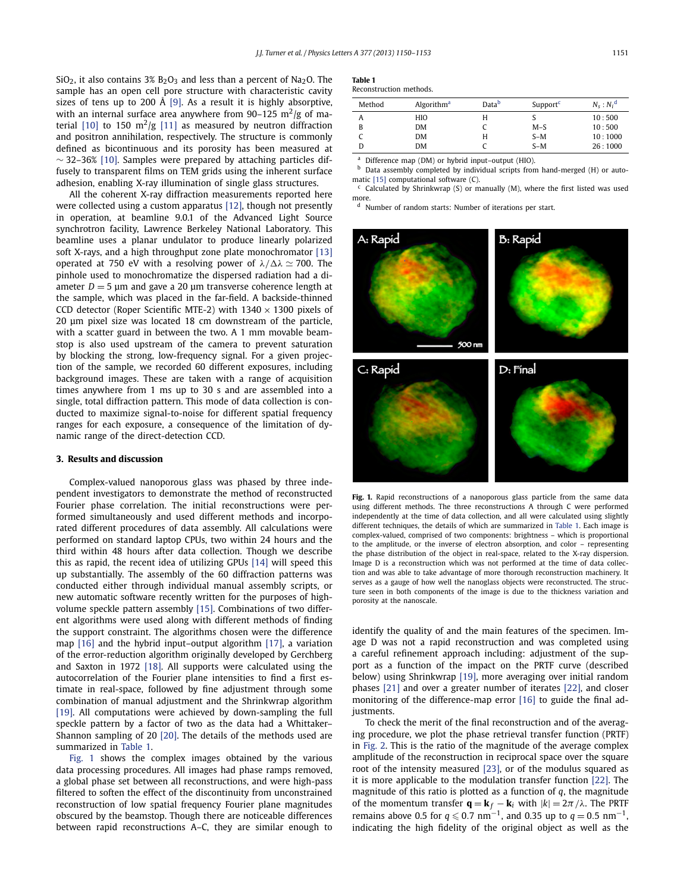<span id="page-1-0"></span>SiO<sub>2</sub>, it also contains  $3\%$  B<sub>2</sub>O<sub>3</sub> and less than a percent of Na<sub>2</sub>O. The sample has an open cell pore structure with characteristic cavity sizes of tens up to 200 Å [\[9\].](#page-3-0) As a result it is highly absorptive, with an internal surface area anywhere from 90–125 m<sup>2</sup>/g of ma-terial [\[10\]](#page-3-0) to 150  $m^2/g$  [\[11\]](#page-3-0) as measured by neutron diffraction and positron annihilation, respectively. The structure is commonly defined as bicontinuous and its porosity has been measured at  $\sim$  32–36% [\[10\].](#page-3-0) Samples were prepared by attaching particles diffusely to transparent films on TEM grids using the inherent surface adhesion, enabling X-ray illumination of single glass structures.

All the coherent X-ray diffraction measurements reported here were collected using a custom apparatus [\[12\],](#page-3-0) though not presently in operation, at beamline 9.0.1 of the Advanced Light Source synchrotron facility, Lawrence Berkeley National Laboratory. This beamline uses a planar undulator to produce linearly polarized soft X-rays, and a high throughput zone plate monochromator [\[13\]](#page-3-0) operated at 750 eV with a resolving power of  $\lambda/\Delta\lambda \simeq 700$ . The pinhole used to monochromatize the dispersed radiation had a diameter  $D = 5$  µm and gave a 20 µm transverse coherence length at the sample, which was placed in the far-field. A backside-thinned CCD detector (Roper Scientific MTE-2) with  $1340 \times 1300$  pixels of 20 μm pixel size was located 18 cm downstream of the particle, with a scatter guard in between the two. A 1 mm movable beamstop is also used upstream of the camera to prevent saturation by blocking the strong, low-frequency signal. For a given projection of the sample, we recorded 60 different exposures, including background images. These are taken with a range of acquisition times anywhere from 1 ms up to 30 s and are assembled into a single, total diffraction pattern. This mode of data collection is conducted to maximize signal-to-noise for different spatial frequency ranges for each exposure, a consequence of the limitation of dynamic range of the direct-detection CCD.

## **3. Results and discussion**

Complex-valued nanoporous glass was phased by three independent investigators to demonstrate the method of reconstructed Fourier phase correlation. The initial reconstructions were performed simultaneously and used different methods and incorporated different procedures of data assembly. All calculations were performed on standard laptop CPUs, two within 24 hours and the third within 48 hours after data collection. Though we describe this as rapid, the recent idea of utilizing GPUs [\[14\]](#page-3-0) will speed this up substantially. The assembly of the 60 diffraction patterns was conducted either through individual manual assembly scripts, or new automatic software recently written for the purposes of highvolume speckle pattern assembly [\[15\].](#page-3-0) Combinations of two different algorithms were used along with different methods of finding the support constraint. The algorithms chosen were the difference map [\[16\]](#page-3-0) and the hybrid input–output algorithm [\[17\],](#page-3-0) a variation of the error-reduction algorithm originally developed by Gerchberg and Saxton in 1972 [\[18\].](#page-3-0) All supports were calculated using the autocorrelation of the Fourier plane intensities to find a first estimate in real-space, followed by fine adjustment through some combination of manual adjustment and the Shrinkwrap algorithm [\[19\].](#page-3-0) All computations were achieved by down-sampling the full speckle pattern by a factor of two as the data had a Whittaker– Shannon sampling of 20 [\[20\].](#page-3-0) The details of the methods used are summarized in Table 1.

Fig. 1 shows the complex images obtained by the various data processing procedures. All images had phase ramps removed, a global phase set between all reconstructions, and were high-pass filtered to soften the effect of the discontinuity from unconstrained reconstruction of low spatial frequency Fourier plane magnitudes obscured by the beamstop. Though there are noticeable differences between rapid reconstructions A–C, they are similar enough to

| Table 1                |  |
|------------------------|--|
| Reconstruction methods |  |

| Method | Algorithm <sup>a</sup> | Datab | Support <sup>c</sup> | $N_s : N_i^d$ |
|--------|------------------------|-------|----------------------|---------------|
| A      | HIO                    | H     |                      | 10:500        |
| B      | <b>DM</b>              |       | $M-S$                | 10:500        |
|        | <b>DM</b>              | Н     | $S-M$                | 10:1000       |
|        | <b>DM</b>              |       | $S-M$                | 26:1000       |

<sup>a</sup> Difference map (DM) or hybrid input–output (HIO).

b Data assembly completed by individual scripts from hand-merged (H) or automatic [\[15\]](#page-3-0) computational software (C).

 $c$  Calculated by Shrinkwrap (S) or manually (M), where the first listed was used more.

<sup>d</sup> Number of random starts: Number of iterations per start.



Fig. 1. Rapid reconstructions of a nanoporous glass particle from the same data using different methods. The three reconstructions A through C were performed independently at the time of data collection, and all were calculated using slightly different techniques, the details of which are summarized in Table 1. Each image is complex-valued, comprised of two components: brightness – which is proportional to the amplitude, or the inverse of electron absorption, and color – representing the phase distribution of the object in real-space, related to the X-ray dispersion. Image D is a reconstruction which was not performed at the time of data collection and was able to take advantage of more thorough reconstruction machinery. It serves as a gauge of how well the nanoglass objects were reconstructed. The structure seen in both components of the image is due to the thickness variation and porosity at the nanoscale.

identify the quality of and the main features of the specimen. Image D was not a rapid reconstruction and was completed using a careful refinement approach including: adjustment of the support as a function of the impact on the PRTF curve (described below) using Shrinkwrap [\[19\],](#page-3-0) more averaging over initial random phases [\[21\]](#page-3-0) and over a greater number of iterates [\[22\],](#page-3-0) and closer monitoring of the difference-map error [\[16\]](#page-3-0) to guide the final adjustments.

To check the merit of the final reconstruction and of the averaging procedure, we plot the phase retrieval transfer function (PRTF) in [Fig. 2.](#page-2-0) This is the ratio of the magnitude of the average complex amplitude of the reconstruction in reciprocal space over the square root of the intensity measured [\[23\],](#page-3-0) or of the modulus squared as it is more applicable to the modulation transfer function [\[22\].](#page-3-0) The magnitude of this ratio is plotted as a function of *q*, the magnitude of the momentum transfer  $\mathbf{q} = \mathbf{k}_f - \mathbf{k}_i$  with  $|k| = 2\pi/\lambda$ . The PRTF remains above 0.5 for  $q \le 0.7$  nm<sup>-1</sup>, and 0.35 up to  $q = 0.5$  nm<sup>-1</sup>, indicating the high fidelity of the original object as well as the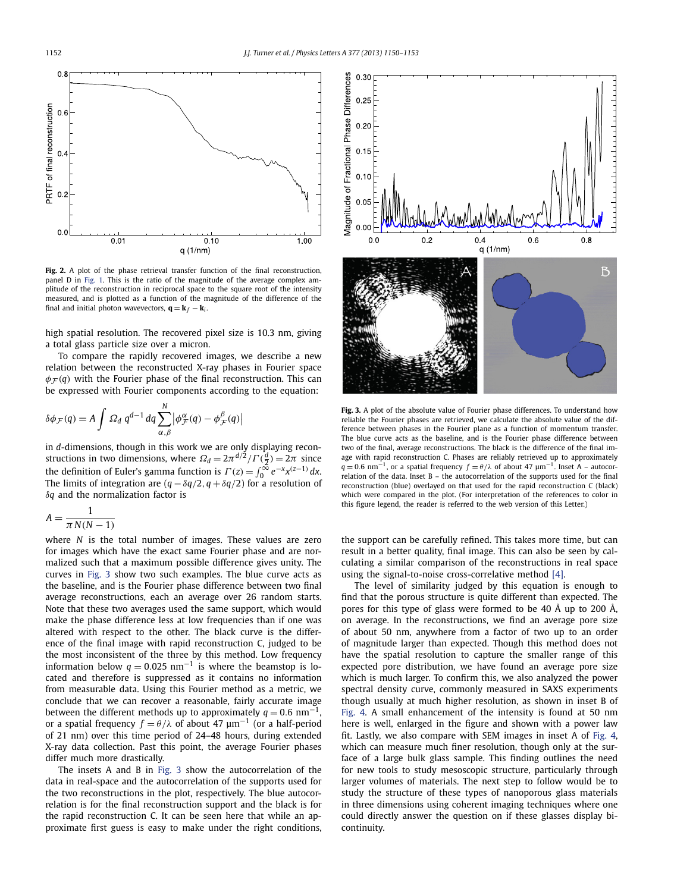<span id="page-2-0"></span>

Fig. 2. A plot of the phase retrieval transfer function of the final reconstruction, panel D in [Fig. 1.](#page-1-0) This is the ratio of the magnitude of the average complex amplitude of the reconstruction in reciprocal space to the square root of the intensity measured, and is plotted as a function of the magnitude of the difference of the final and initial photon wavevectors,  $\mathbf{q} = \mathbf{k}_f - \mathbf{k}_i$ .

high spatial resolution. The recovered pixel size is 10.3 nm, giving a total glass particle size over a micron.

To compare the rapidly recovered images, we describe a new relation between the reconstructed X-ray phases in Fourier space  $\phi_F(q)$  with the Fourier phase of the final reconstruction. This can be expressed with Fourier components according to the equation:

$$
\delta \phi_{\mathcal{F}}(q) = A \int \Omega_d \; q^{d-1} \, dq \sum_{\alpha,\beta}^{N} \left| \phi_{\mathcal{F}}^{\alpha}(q) - \phi_{\mathcal{F}}^{\beta}(q) \right|
$$

in *d*-dimensions, though in this work we are only displaying reconstructions in two dimensions, where  $\Omega_d = 2\pi^{d/2}/\Gamma(\frac{d}{2}) = 2\pi$  since the definition of Euler's gamma function is  $\Gamma(z) = \int_0^\infty e^{-x} x^{(z-1)} dx$ . The limits of integration are  $(q - \delta q/2, q + \delta q/2)$  for a resolution of *δq* and the normalization factor is

$$
A = \frac{1}{\pi N(N-1)}
$$

where *N* is the total number of images. These values are zero for images which have the exact same Fourier phase and are normalized such that a maximum possible difference gives unity. The curves in Fig. 3 show two such examples. The blue curve acts as the baseline, and is the Fourier phase difference between two final average reconstructions, each an average over 26 random starts. Note that these two averages used the same support, which would make the phase difference less at low frequencies than if one was altered with respect to the other. The black curve is the difference of the final image with rapid reconstruction C, judged to be the most inconsistent of the three by this method. Low frequency information below  $q = 0.025$  nm<sup>-1</sup> is where the beamstop is located and therefore is suppressed as it contains no information from measurable data. Using this Fourier method as a metric, we conclude that we can recover a reasonable, fairly accurate image between the different methods up to approximately  $q = 0.6$  nm<sup>-1</sup> or a spatial frequency  $f = \theta/\lambda$  of about 47  $\mu$ m<sup>-1</sup> (or a half-period of 21 nm) over this time period of 24–48 hours, during extended X-ray data collection. Past this point, the average Fourier phases differ much more drastically.

The insets A and B in Fig. 3 show the autocorrelation of the data in real-space and the autocorrelation of the supports used for the two reconstructions in the plot, respectively. The blue autocorrelation is for the final reconstruction support and the black is for the rapid reconstruction C. It can be seen here that while an approximate first guess is easy to make under the right conditions,



**Fig. 3.** A plot of the absolute value of Fourier phase differences. To understand how reliable the Fourier phases are retrieved, we calculate the absolute value of the difference between phases in the Fourier plane as a function of momentum transfer. The blue curve acts as the baseline, and is the Fourier phase difference between two of the final, average reconstructions. The black is the difference of the final image with rapid reconstruction C. Phases are reliably retrieved up to approximately  $q = 0.6$  nm<sup>-1</sup>, or a spatial frequency  $f = \theta/\lambda$  of about 47  $\mu$ m<sup>-1</sup>. Inset A – autocorrelation of the data. Inset  $B -$  the autocorrelation of the supports used for the final reconstruction (blue) overlayed on that used for the rapid reconstruction C (black) which were compared in the plot. (For interpretation of the references to color in this figure legend, the reader is referred to the web version of this Letter.)

the support can be carefully refined. This takes more time, but can result in a better quality, final image. This can also be seen by calculating a similar comparison of the reconstructions in real space using the signal-to-noise cross-correlative method [\[4\].](#page-3-0)

The level of similarity judged by this equation is enough to find that the porous structure is quite different than expected. The pores for this type of glass were formed to be 40 Å up to 200 Å, on average. In the reconstructions, we find an average pore size of about 50 nm, anywhere from a factor of two up to an order of magnitude larger than expected. Though this method does not have the spatial resolution to capture the smaller range of this expected pore distribution, we have found an average pore size which is much larger. To confirm this, we also analyzed the power spectral density curve, commonly measured in SAXS experiments though usually at much higher resolution, as shown in inset B of [Fig. 4.](#page-3-0) A small enhancement of the intensity is found at 50 nm here is well, enlarged in the figure and shown with a power law fit. Lastly, we also compare with SEM images in inset A of [Fig. 4,](#page-3-0) which can measure much finer resolution, though only at the surface of a large bulk glass sample. This finding outlines the need for new tools to study mesoscopic structure, particularly through larger volumes of materials. The next step to follow would be to study the structure of these types of nanoporous glass materials in three dimensions using coherent imaging techniques where one could directly answer the question on if these glasses display bicontinuity.